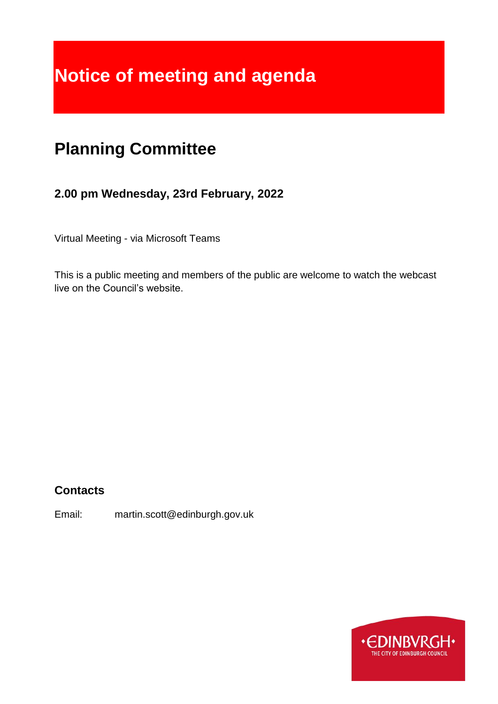# **Notice of meeting and agenda**

## **Planning Committee**

### **2.00 pm Wednesday, 23rd February, 2022**

Virtual Meeting - via Microsoft Teams

This is a public meeting and members of the public are welcome to watch the webcast live on the Council's website.

### **Contacts**

Email: martin.scott@edinburgh.gov.uk

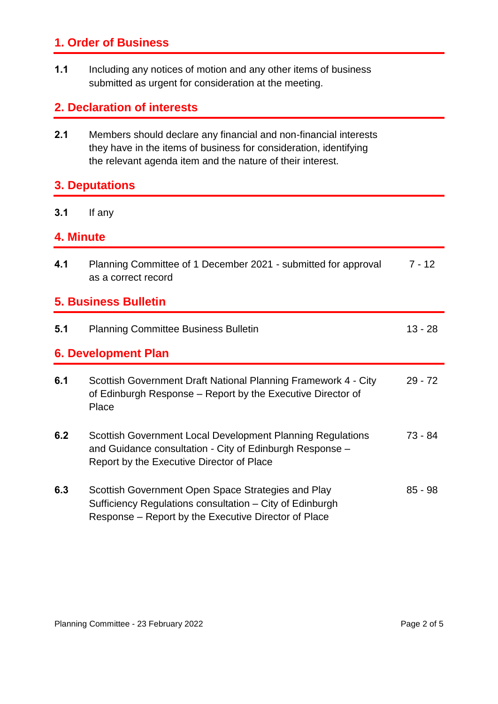### **1. Order of Business**

**1.1** Including any notices of motion and any other items of business submitted as urgent for consideration at the meeting.

### **2. Declaration of interests**

**2.1** Members should declare any financial and non-financial interests they have in the items of business for consideration, identifying the relevant agenda item and the nature of their interest.

### **3. Deputations**

**3.1** If any

#### **4. Minute**

| 4.1                         | Planning Committee of 1 December 2021 - submitted for approval<br>as a correct record                                                                                  | $7 - 12$  |  |
|-----------------------------|------------------------------------------------------------------------------------------------------------------------------------------------------------------------|-----------|--|
| <b>5. Business Bulletin</b> |                                                                                                                                                                        |           |  |
| 5.1                         | <b>Planning Committee Business Bulletin</b>                                                                                                                            | $13 - 28$ |  |
| 6. Development Plan         |                                                                                                                                                                        |           |  |
| 6.1                         | Scottish Government Draft National Planning Framework 4 - City<br>of Edinburgh Response – Report by the Executive Director of<br>Place                                 | $29 - 72$ |  |
| 6.2                         | Scottish Government Local Development Planning Regulations<br>and Guidance consultation - City of Edinburgh Response -<br>Report by the Executive Director of Place    | 73 - 84   |  |
| 6.3                         | Scottish Government Open Space Strategies and Play<br>Sufficiency Regulations consultation – City of Edinburgh<br>Response – Report by the Executive Director of Place | $85 - 98$ |  |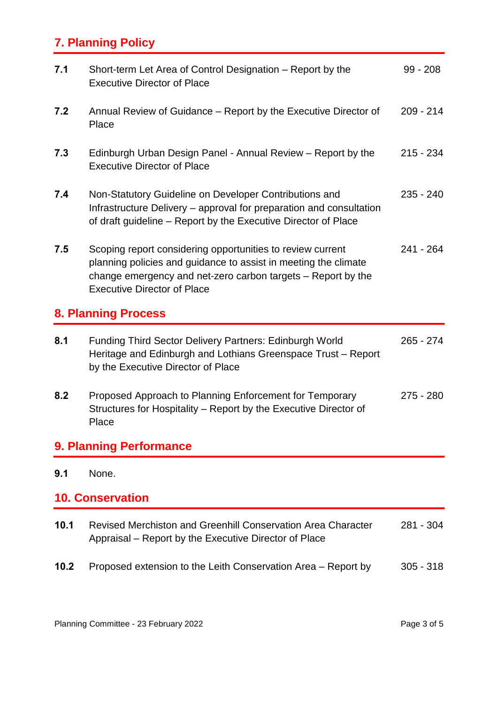### **7. Planning Policy**

| 7.1                            | Short-term Let Area of Control Designation - Report by the<br><b>Executive Director of Place</b>                                                                                                                                    | $99 - 208$  |
|--------------------------------|-------------------------------------------------------------------------------------------------------------------------------------------------------------------------------------------------------------------------------------|-------------|
| 7.2                            | Annual Review of Guidance – Report by the Executive Director of<br>Place                                                                                                                                                            | $209 - 214$ |
| 7.3                            | Edinburgh Urban Design Panel - Annual Review – Report by the<br><b>Executive Director of Place</b>                                                                                                                                  | $215 - 234$ |
| 7.4                            | Non-Statutory Guideline on Developer Contributions and<br>Infrastructure Delivery – approval for preparation and consultation<br>of draft guideline – Report by the Executive Director of Place                                     | $235 - 240$ |
| 7.5                            | Scoping report considering opportunities to review current<br>planning policies and guidance to assist in meeting the climate<br>change emergency and net-zero carbon targets – Report by the<br><b>Executive Director of Place</b> | $241 - 264$ |
| <b>8. Planning Process</b>     |                                                                                                                                                                                                                                     |             |
| 8.1                            | <b>Funding Third Sector Delivery Partners: Edinburgh World</b><br>Heritage and Edinburgh and Lothians Greenspace Trust - Report<br>by the Executive Director of Place                                                               | 265 - 274   |
| 8.2                            | Proposed Approach to Planning Enforcement for Temporary<br>Structures for Hospitality – Report by the Executive Director of<br>Place                                                                                                | 275 - 280   |
| <b>9. Planning Performance</b> |                                                                                                                                                                                                                                     |             |
| 9.1                            | None.                                                                                                                                                                                                                               |             |
| <b>10. Conservation</b>        |                                                                                                                                                                                                                                     |             |
|                                |                                                                                                                                                                                                                                     |             |
| 10.1                           | Revised Merchiston and Greenhill Conservation Area Character<br>Appraisal – Report by the Executive Director of Place                                                                                                               | 281 - 304   |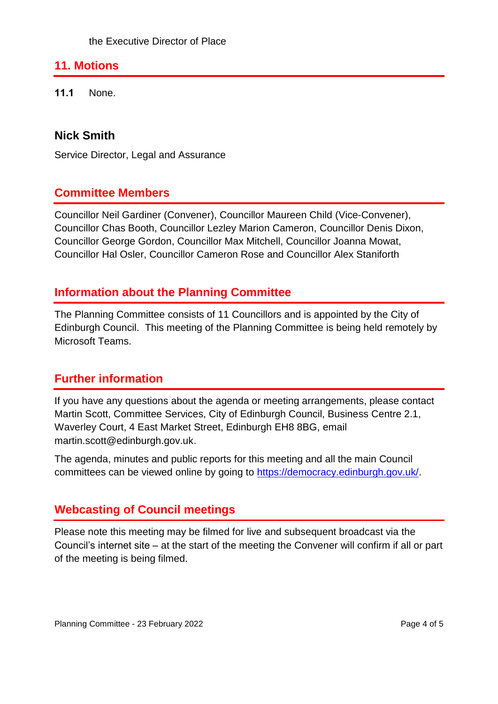### **11. Motions**

**11.1** None.

### **Nick Smith**

Service Director, Legal and Assurance

### **Committee Members**

Councillor Neil Gardiner (Convener), Councillor Maureen Child (Vice-Convener), Councillor Chas Booth, Councillor Lezley Marion Cameron, Councillor Denis Dixon, Councillor George Gordon, Councillor Max Mitchell, Councillor Joanna Mowat, Councillor Hal Osler, Councillor Cameron Rose and Councillor Alex Staniforth

### **Information about the Planning Committee**

The Planning Committee consists of 11 Councillors and is appointed by the City of Edinburgh Council. This meeting of the Planning Committee is being held remotely by Microsoft Teams.

### **Further information**

If you have any questions about the agenda or meeting arrangements, please contact Martin Scott, Committee Services, City of Edinburgh Council, Business Centre 2.1, Waverley Court, 4 East Market Street, Edinburgh EH8 8BG, email martin.scott@edinburgh.gov.uk.

The agenda, minutes and public reports for this meeting and all the main Council committees can be viewed online by going to [https://democracy.edinburgh.gov.uk/.](https://democracy.edinburgh.gov.uk/)

### **Webcasting of Council meetings**

Please note this meeting may be filmed for live and subsequent broadcast via the Council's internet site – at the start of the meeting the Convener will confirm if all or part of the meeting is being filmed.